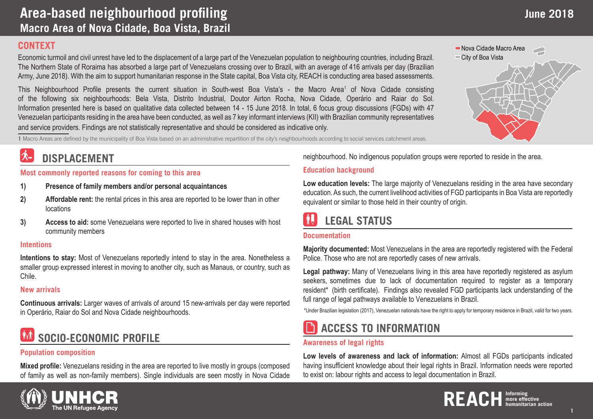### **CONTEXT**

Economic turmoil and civil unrest have led to the displacement of a large part of the Venezuelan population to neighbouring countries, including Brazil. The Northern State of Roraima has absorbed a large part of Venezuelans crossing over to Brazil, with an average of 416 arrivals per day (Brazilian Army, June 2018). With the aim to support humanitarian response in the State capital, Boa Vista city, REACH is conducting area based assessments.

This Neighbourhood Profile presents the current situation in South-west Boa Vista's - the Macro Area<sup>1</sup> of Nova Cidade consisting of the following six neighbourhoods: Bela Vista, Distrito Industrial, Doutor Airton Rocha, Nova Cidade, Operário and Raiar do Sol. Information presented here is based on qualitative data collected between 14 - 15 June 2018. In total, 6 focus group discussions (FGDs) with 47 Venezuelan participants residing in the area have been conducted, as well as 7 key informant interviews (KII) with Brazilian community representatives and service providers. Findings are not statistically representative and should be considered as indicative only.

**1** Macro Areas are defined by the municipality of Boa Vista based on an administrative repartition of the city's neighbourhoods according to social services catchment areas.

### **DISPLACEMENT**

**Most commonly reported reasons for coming to this area**

- **1) Presence of family members and/or personal acquaintances**
- **2) Affordable rent:** the rental prices in this area are reported to be lower than in other locations
- **3) Access to aid:** some Venezuelans were reported to live in shared houses with host community members

#### **Intentions**

**Intentions to stay:** Most of Venezuelans reportedly intend to stay in the area. Nonetheless a smaller group expressed interest in moving to another city, such as Manaus, or country, such as Chile.

### **New arrivals**

**Continuous arrivals:** Larger waves of arrivals of around 15 new-arrivals per day were reported in Operário, Raiar do Sol and Nova Cidade neighbourhoods.

# **SOCIO-ECONOMIC PROFILE**

### **Population composition**

**Mixed profile:** Venezuelans residing in the area are reported to live mostly in groups (composed of family as well as non-family members). Single individuals are seen mostly in Nova Cidade



neighbourhood. No indigenous population groups were reported to reside in the area.

### **Education background**

**Low education levels:** The large majority of Venezuelans residing in the area have secondary education. As such, the current livelihood activities of FGD participants in Boa Vista are reportedly equivalent or similar to those held in their country of origin.

## **LEGAL STATUS**

### **Documentation**

**Majority documented:** Most Venezuelans in the area are reportedly registered with the Federal Police. Those who are not are reportedly cases of new arrivals.

**Legal pathway:** Many of Venezuelans living in this area have reportedly registered as asylum seekers, sometimes due to lack of documentation required to register as a temporary resident\* (birth certificate). Findings also revealed FGD participants lack understanding of the full range of legal pathways available to Venezuelans in Brazil.

\*Under Brazilian legislation (2017), Venezuelan nationals have the right to apply for temporary residence in Brazil, valid for two years.

## **ACCESS TO INFORMATION**

### **Awareness of legal rights**

**Low levels of awareness and lack of information:** Almost all FGDs participants indicated having insufficient knowledge about their legal rights in Brazil. Information needs were reported to exist on: labour rights and access to legal documentation in Brazil.



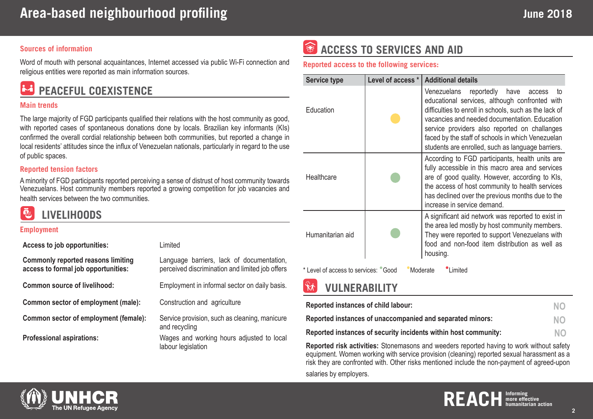### **Sources of information**

Word of mouth with personal acquaintances, Internet accessed via public Wi-Fi connection and religious entities were reported as main information sources.

# **PEACEFUL COEXISTENCE**

### **Main trends**

The large majority of FGD participants qualified their relations with the host community as good, with reported cases of spontaneous donations done by locals. Brazilian key informants (KIs) confirmed the overall cordial relationship between both communities, but reported a change in local residents' attitudes since the influx of Venezuelan nationals, particularly in regard to the use of public spaces.

### **Reported tension factors**

A minority of FGD participants reported perceiving a sense of distrust of host community towards Venezuelans. Host community members reported a growing competition for job vacancies and health services between the two communities.

# **LIVELIHOODS**

### **Employment**

| Access to job opportunities:                                                     | Limited                                                                                      |
|----------------------------------------------------------------------------------|----------------------------------------------------------------------------------------------|
| <b>Commonly reported reasons limiting</b><br>access to formal job opportunities: | Language barriers, lack of documentation,<br>perceived discrimination and limited job offers |
| <b>Common source of livelihood:</b>                                              | Employment in informal sector on daily basis.                                                |
| Common sector of employment (male):                                              | Construction and agriculture                                                                 |
| Common sector of employment (female):                                            | Service provision, such as cleaning, manicure<br>and recycling                               |
| <b>Professional aspirations:</b>                                                 | Wages and working hours adjusted to local<br>labour legislation                              |

# **ACCESS TO SERVICES AND AID**

### **Reported access to the following services:**

| <b>Service type</b>                                               | Level of access * | <b>Additional details</b>                                                                                                                                                                                                                                                                                                                                                 |  |
|-------------------------------------------------------------------|-------------------|---------------------------------------------------------------------------------------------------------------------------------------------------------------------------------------------------------------------------------------------------------------------------------------------------------------------------------------------------------------------------|--|
| Education                                                         |                   | reportedly<br>Venezuelans<br>have<br>access<br>tο<br>educational services, although confronted with<br>difficulties to enroll in schools, such as the lack of<br>vacancies and needed documentation. Education<br>service providers also reported on challanges<br>faced by the staff of schools in which Venezuelan<br>students are enrolled, such as language barriers. |  |
| Healthcare                                                        |                   | According to FGD participants, health units are<br>fully accessible in this macro area and services<br>are of good quality. However, according to KIs,<br>the access of host community to health services<br>has declined over the previous months due to the<br>increase in service demand.                                                                              |  |
| Humanitarian aid                                                  |                   | A significant aid network was reported to exist in<br>the area led mostly by host community members.<br>They were reported to support Venezuelans with<br>food and non-food item distribution as well as<br>housing.                                                                                                                                                      |  |
| * Level of access to services: Cood<br>Moderate<br><b>Limited</b> |                   |                                                                                                                                                                                                                                                                                                                                                                           |  |

# **VULNERABILITY**

| <b>Reported instances of child labour:</b>                      | - NO |
|-----------------------------------------------------------------|------|
| Reported instances of unaccompanied and separated minors:       | - NO |
| Reported instances of security incidents within host community: | NO.  |

**Reported risk activities:** Stonemasons and weeders reported having to work without safety equipment. Women working with service provision (cleaning) reported sexual harassment as a risk they are confronted with. Other risks mentioned include the non-payment of agreed-upon salaries by employers.